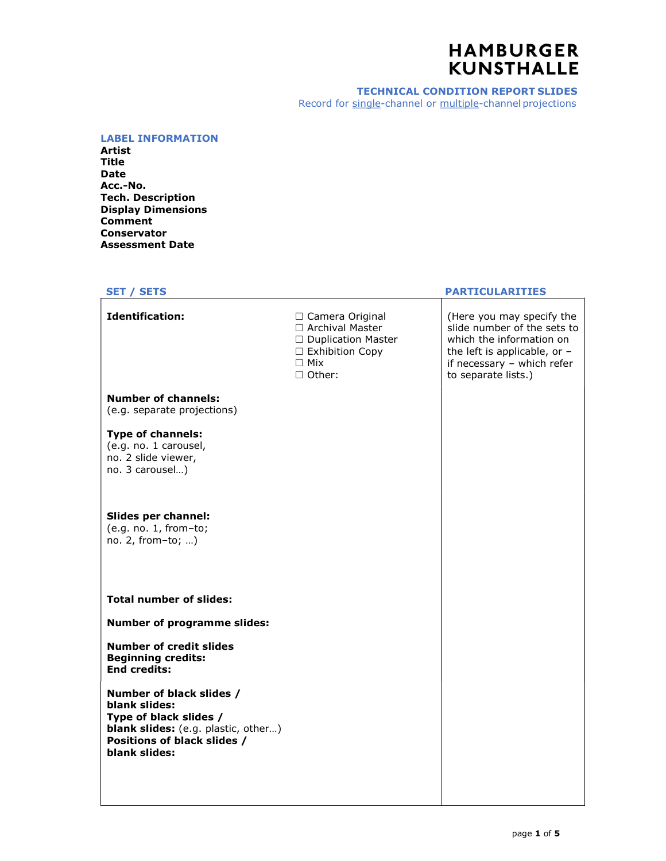#### TECHNICAL CONDITION REPORT SLIDES Record for single-channel or multiple-channel projections

#### LABEL INFORMATION

Artist Title Date Acc.-No. Tech. Description Display Dimensions Comment Conservator Assessment Date

# **Identification:**  $\square$  Camera Original  $\vert$  (Here you may specify the  $\vert$

Number of channels: (e.g. separate projections)

## Type of channels:

(e.g. no. 1 carousel, no. 2 slide viewer, no. 3 carousel…)

## Slides per channel: (e.g. no. 1, from–to;

no. 2, from–to; …)

## Total number of slides:

Number of programme slides:

## Number of credit slides Beginning credits: End credits:

Number of black slides / blank slides: Type of black slides / blank slides: (e.g. plastic, other...) Positions of black slides / blank slides:

## SET / SETS PARTICULARITIES

 $\Box$  Archival Master  $\vert$  slide number of the sets to  $\vert$ □ Duplication Master | which the information on  $\Box$  Exhibition Copy  $\Box$  the left is applicable, or  $\Box$ □ Mix and the second of the if necessary – which refer  $\Box$  Other:  $\Box$  ito separate lists.)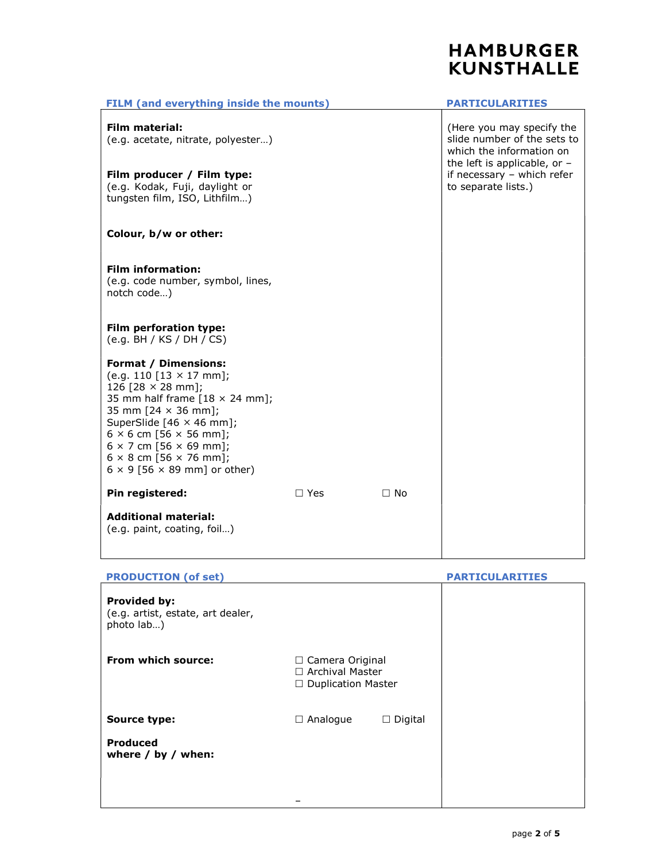| FILM (and everything inside the mounts)                                                                                                                                                                                                                                                                                                                     |            |           | <b>PARTICULARITIES</b>                                                               |  |
|-------------------------------------------------------------------------------------------------------------------------------------------------------------------------------------------------------------------------------------------------------------------------------------------------------------------------------------------------------------|------------|-----------|--------------------------------------------------------------------------------------|--|
| Film material:<br>(e.g. acetate, nitrate, polyester)                                                                                                                                                                                                                                                                                                        |            |           | (Here you may specify the<br>slide number of the sets to<br>which the information on |  |
| Film producer / Film type:<br>(e.g. Kodak, Fuji, daylight or<br>tungsten film, ISO, Lithfilm)                                                                                                                                                                                                                                                               |            |           | the left is applicable, or $-$<br>if necessary - which refer<br>to separate lists.)  |  |
| Colour, b/w or other:                                                                                                                                                                                                                                                                                                                                       |            |           |                                                                                      |  |
| <b>Film information:</b><br>(e.g. code number, symbol, lines,<br>notch code)                                                                                                                                                                                                                                                                                |            |           |                                                                                      |  |
| Film perforation type:<br>(e.g. BH / KS / DH / CS)                                                                                                                                                                                                                                                                                                          |            |           |                                                                                      |  |
| <b>Format / Dimensions:</b><br>(e.g. 110 $[13 \times 17$ mm];<br>126 [28 $\times$ 28 mm];<br>35 mm half frame $[18 \times 24$ mm];<br>35 mm [24 × 36 mm];<br>SuperSlide [46 × 46 mm];<br>$6 \times 6$ cm [56 $\times$ 56 mm];<br>$6 \times 7$ cm [56 $\times$ 69 mm];<br>$6 \times 8$ cm [56 $\times$ 76 mm];<br>$6 \times 9$ [56 $\times$ 89 mm] or other) |            |           |                                                                                      |  |
| Pin registered:                                                                                                                                                                                                                                                                                                                                             | $\Box$ Yes | $\Box$ No |                                                                                      |  |
| <b>Additional material:</b><br>(e.g. paint, coating, foil)                                                                                                                                                                                                                                                                                                  |            |           |                                                                                      |  |

## PRODUCTION (of set) PARTICULARITIES

| Provided by:<br>(e.g. artist, estate, art dealer,<br>photo lab) |                                                                |                |
|-----------------------------------------------------------------|----------------------------------------------------------------|----------------|
| From which source:                                              | □ Camera Original<br>□ Archival Master<br>□ Duplication Master |                |
| <b>Source type:</b>                                             | $\Box$ Analogue                                                | $\Box$ Digital |
| <b>Produced</b><br>where $/$ by $/$ when:                       |                                                                |                |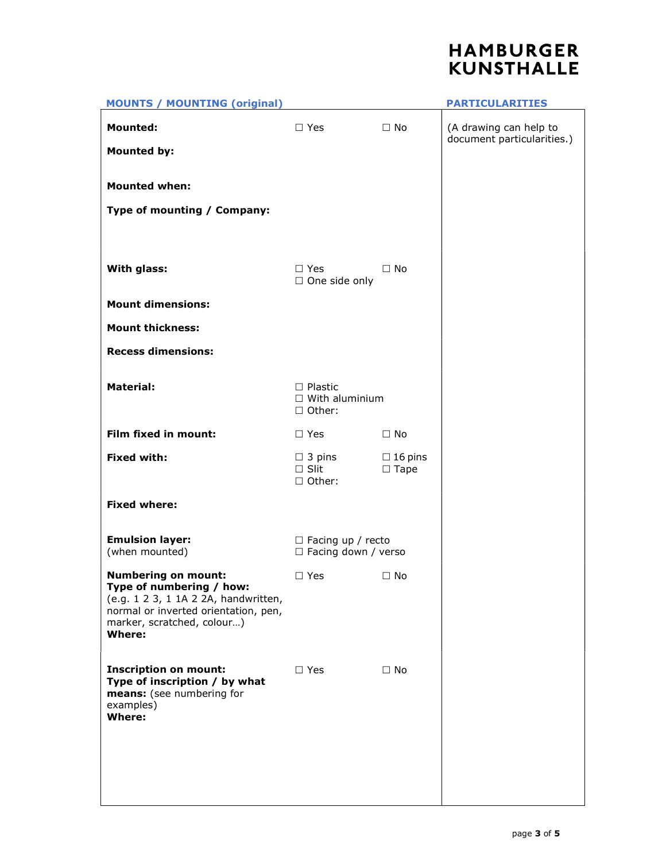

| <b>MOUNTS / MOUNTING (original)</b>                                                                                                                                                   |                                                             |                                  | <b>PARTICULARITIES</b>                               |
|---------------------------------------------------------------------------------------------------------------------------------------------------------------------------------------|-------------------------------------------------------------|----------------------------------|------------------------------------------------------|
| <b>Mounted:</b>                                                                                                                                                                       | $\Box$ Yes                                                  | $\Box$ No                        | (A drawing can help to<br>document particularities.) |
| <b>Mounted by:</b>                                                                                                                                                                    |                                                             |                                  |                                                      |
| <b>Mounted when:</b>                                                                                                                                                                  |                                                             |                                  |                                                      |
| Type of mounting / Company:                                                                                                                                                           |                                                             |                                  |                                                      |
|                                                                                                                                                                                       |                                                             |                                  |                                                      |
| With glass:                                                                                                                                                                           | $\Box$ Yes<br>$\Box$ One side only                          | $\Box$ No                        |                                                      |
| <b>Mount dimensions:</b>                                                                                                                                                              |                                                             |                                  |                                                      |
| <b>Mount thickness:</b>                                                                                                                                                               |                                                             |                                  |                                                      |
| <b>Recess dimensions:</b>                                                                                                                                                             |                                                             |                                  |                                                      |
| <b>Material:</b>                                                                                                                                                                      | $\square$ Plastic<br>$\Box$ With aluminium<br>$\Box$ Other: |                                  |                                                      |
| Film fixed in mount:                                                                                                                                                                  | $\Box$ Yes                                                  | $\Box$ No                        |                                                      |
| <b>Fixed with:</b>                                                                                                                                                                    | $\Box$ 3 pins<br>$\square$ Slit<br>□ Other:                 | $\Box$ 16 pins<br>$\square$ Tape |                                                      |
| <b>Fixed where:</b>                                                                                                                                                                   |                                                             |                                  |                                                      |
| <b>Emulsion layer:</b><br>(when mounted)                                                                                                                                              | $\Box$ Facing up / recto<br>$\Box$ Facing down / verso      |                                  |                                                      |
| <b>Numbering on mount:</b><br>Type of numbering / how:<br>(e.g. 1 2 3, 1 1A 2 2A, handwritten,<br>normal or inverted orientation, pen,<br>marker, scratched, colour)<br><b>Where:</b> | $\Box$ Yes                                                  | $\Box$ No                        |                                                      |
| <b>Inscription on mount:</b><br>Type of inscription / by what<br>means: (see numbering for<br>examples)<br><b>Where:</b>                                                              | $\square$ Yes                                               | $\Box$ No                        |                                                      |
|                                                                                                                                                                                       |                                                             |                                  |                                                      |
|                                                                                                                                                                                       |                                                             |                                  |                                                      |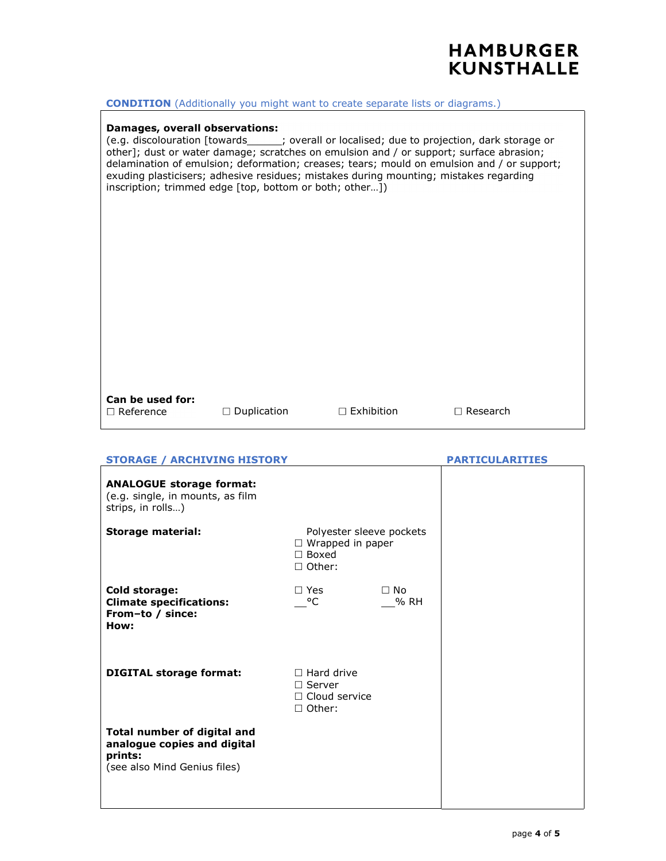### **CONDITION** (Additionally you might want to create separate lists or diagrams.)

## Damages, overall observations:

(e.g. discolouration [towards\_\_\_\_\_\_; overall or localised; due to projection, dark storage or other]; dust or water damage; scratches on emulsion and / or support; surface abrasion; delamination of emulsion; deformation; creases; tears; mould on emulsion and / or support; exuding plasticisers; adhesive residues; mistakes during mounting; mistakes regarding inscription; trimmed edge [top, bottom or both; other…])

## Can be used for:

Duplication Exhibition Research Reference

| <b>STORAGE / ARCHIVING HISTORY</b>                                                                    |                                                                                 |                   | <b>PARTICULARITIES</b> |  |
|-------------------------------------------------------------------------------------------------------|---------------------------------------------------------------------------------|-------------------|------------------------|--|
| <b>ANALOGUE storage format:</b><br>(e.g. single, in mounts, as film<br>strips, in rolls)              |                                                                                 |                   |                        |  |
| <b>Storage material:</b>                                                                              | Polyester sleeve pockets<br>$\Box$ Wrapped in paper<br>$\Box$ Boxed<br>□ Other: |                   |                        |  |
| <b>Cold storage:</b><br><b>Climate specifications:</b><br>From-to / since:<br>How:                    | $\Box$ Yes<br>$^{\circ}$ C                                                      | $\Box$ No<br>% RH |                        |  |
| <b>DIGITAL storage format:</b>                                                                        | $\Box$ Hard drive<br>$\Box$ Server<br>$\Box$ Cloud service<br>$\Box$ Other:     |                   |                        |  |
| Total number of digital and<br>analogue copies and digital<br>prints:<br>(see also Mind Genius files) |                                                                                 |                   |                        |  |